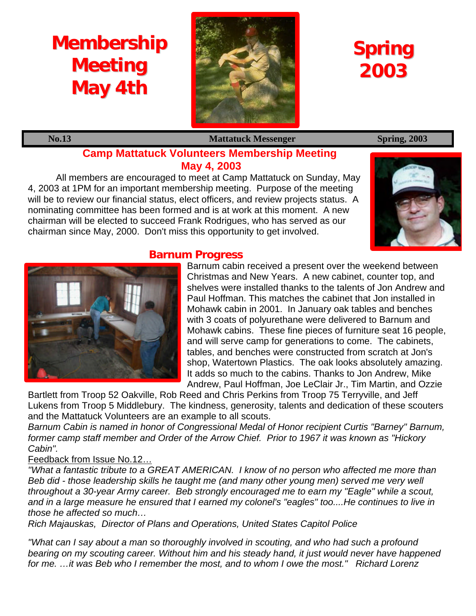# **Membership Meeting May 4th**



## **Spring 2003**

**No.13** Mattatuck Messenger Spring, 2003

### **Camp Mattatuck Volunteers Membership Meeting May 4, 2003**

All members are encouraged to meet at Camp Mattatuck on Sunday, May 4, 2003 at 1PM for an important membership meeting. Purpose of the meeting will be to review our financial status, elect officers, and review projects status. A nominating committee has been formed and is at work at this moment. A new chairman will be elected to succeed Frank Rodrigues, who has served as our chairman since May, 2000. Don't miss this opportunity to get involved.



### **Barnum Progress**



Barnum cabin received a present over the weekend between Christmas and New Years. A new cabinet, counter top, and shelves were installed thanks to the talents of Jon Andrew and Paul Hoffman. This matches the cabinet that Jon installed in Mohawk cabin in 2001. In January oak tables and benches with 3 coats of polyurethane were delivered to Barnum and Mohawk cabins. These fine pieces of furniture seat 16 people, and will serve camp for generations to come. The cabinets, tables, and benches were constructed from scratch at Jon's shop, Watertown Plastics. The oak looks absolutely amazing. It adds so much to the cabins. Thanks to Jon Andrew, Mike Andrew, Paul Hoffman, Joe LeClair Jr., Tim Martin, and Ozzie

Bartlett from Troop 52 Oakville, Rob Reed and Chris Perkins from Troop 75 Terryville, and Jeff Lukens from Troop 5 Middlebury. The kindness, generosity, talents and dedication of these scouters and the Mattatuck Volunteers are an example to all scouts.

*Barnum Cabin is named in honor of Congressional Medal of Honor recipient Curtis "Barney" Barnum, former camp staff member and Order of the Arrow Chief. Prior to 1967 it was known as "Hickory Cabin".*

#### Feedback from Issue No.12…

*"What a fantastic tribute to a GREAT AMERICAN. I know of no person who affected me more than Beb did - those leadership skills he taught me (and many other young men) served me very well throughout a 30-year Army career. Beb strongly encouraged me to earn my "Eagle" while a scout, and in a large measure he ensured that I earned my colonel's "eagles" too....He continues to live in those he affected so much…*

*Rich Majauskas, Director of Plans and Operations, United States Capitol Police*

*"What can I say about a man so thoroughly involved in scouting, and who had such a profound bearing on my scouting career. Without him and his steady hand, it just would never have happened for me. …it was Beb who I remember the most, and to whom I owe the most." Richard Lorenz*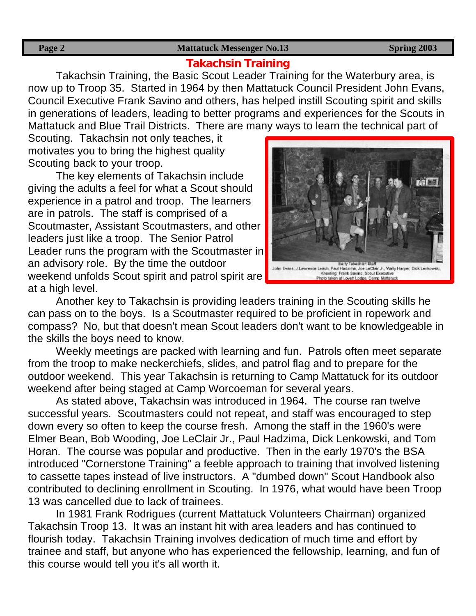#### **Page 2** Spring 2003

#### **Takachsin Training**

Takachsin Training, the Basic Scout Leader Training for the Waterbury area, is now up to Troop 35. Started in 1964 by then Mattatuck Council President John Evans, Council Executive Frank Savino and others, has helped instill Scouting spirit and skills in generations of leaders, leading to better programs and experiences for the Scouts in Mattatuck and Blue Trail Districts. There are many ways to learn the technical part of

Scouting. Takachsin not only teaches, it motivates you to bring the highest quality Scouting back to your troop.

The key elements of Takachsin include giving the adults a feel for what a Scout should experience in a patrol and troop. The learners are in patrols. The staff is comprised of a Scoutmaster, Assistant Scoutmasters, and other leaders just like a troop. The Senior Patrol Leader runs the program with the Scoutmaster in an advisory role. By the time the outdoor weekend unfolds Scout spirit and patrol spirit are at a high level.



Another key to Takachsin is providing leaders training in the Scouting skills he can pass on to the boys. Is a Scoutmaster required to be proficient in ropework and compass? No, but that doesn't mean Scout leaders don't want to be knowledgeable in the skills the boys need to know.

Weekly meetings are packed with learning and fun. Patrols often meet separate from the troop to make neckerchiefs, slides, and patrol flag and to prepare for the outdoor weekend. This year Takachsin is returning to Camp Mattatuck for its outdoor weekend after being staged at Camp Worcoeman for several years.

As stated above, Takachsin was introduced in 1964. The course ran twelve successful years. Scoutmasters could not repeat, and staff was encouraged to step down every so often to keep the course fresh. Among the staff in the 1960's were Elmer Bean, Bob Wooding, Joe LeClair Jr., Paul Hadzima, Dick Lenkowski, and Tom Horan. The course was popular and productive. Then in the early 1970's the BSA introduced "Cornerstone Training" a feeble approach to training that involved listening to cassette tapes instead of live instructors. A "dumbed down" Scout Handbook also contributed to declining enrollment in Scouting. In 1976, what would have been Troop 13 was cancelled due to lack of trainees.

In 1981 Frank Rodrigues (current Mattatuck Volunteers Chairman) organized Takachsin Troop 13. It was an instant hit with area leaders and has continued to flourish today. Takachsin Training involves dedication of much time and effort by trainee and staff, but anyone who has experienced the fellowship, learning, and fun of this course would tell you it's all worth it.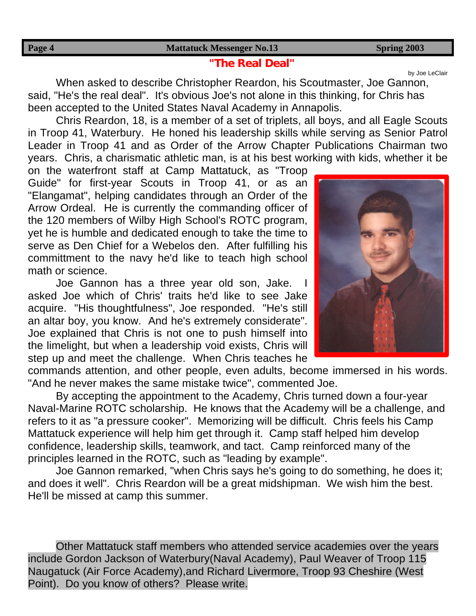#### **"The Real Deal"**

When asked to describe Christopher Reardon, his Scoutmaster, Joe Gannon, said, "He's the real deal". It's obvious Joe's not alone in this thinking, for Chris has been accepted to the United States Naval Academy in Annapolis.

Chris Reardon, 18, is a member of a set of triplets, all boys, and all Eagle Scouts in Troop 41, Waterbury. He honed his leadership skills while serving as Senior Patrol Leader in Troop 41 and as Order of the Arrow Chapter Publications Chairman two years. Chris, a charismatic athletic man, is at his best working with kids, whether it be

on the waterfront staff at Camp Mattatuck, as "Troop Guide" for first-year Scouts in Troop 41, or as an "Elangamat", helping candidates through an Order of the Arrow Ordeal. He is currently the commanding officer of the 120 members of Wilby High School's ROTC program, yet he is humble and dedicated enough to take the time to serve as Den Chief for a Webelos den. After fulfilling his committment to the navy he'd like to teach high school math or science.

Joe Gannon has a three year old son, Jake. asked Joe which of Chris' traits he'd like to see Jake acquire. "His thoughtfulness", Joe responded. "He's still an altar boy, you know. And he's extremely considerate". Joe explained that Chris is not one to push himself into the limelight, but when a leadership void exists, Chris will step up and meet the challenge. When Chris teaches he

commands attention, and other people, even adults, become immersed in his words. "And he never makes the same mistake twice", commented Joe.

By accepting the appointment to the Academy, Chris turned down a four-year Naval-Marine ROTC scholarship. He knows that the Academy will be a challenge, and refers to it as "a pressure cooker". Memorizing will be difficult. Chris feels his Camp Mattatuck experience will help him get through it. Camp staff helped him develop confidence, leadership skills, teamwork, and tact. Camp reinforced many of the principles learned in the ROTC, such as "leading by example".

Joe Gannon remarked, "when Chris says he's going to do something, he does it; and does it well". Chris Reardon will be a great midshipman. We wish him the best. He'll be missed at camp this summer.

Other Mattatuck staff members who attended service academies over the years include Gordon Jackson of Waterbury(Naval Academy), Paul Weaver of Troop 115 Naugatuck (Air Force Academy),and Richard Livermore, Troop 93 Cheshire (West Point). Do you know of others? Please write.



by Joe LeClair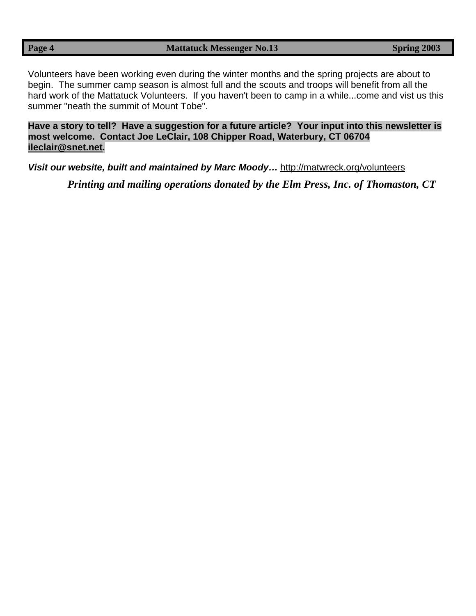Volunteers have been working even during the winter months and the spring projects are about to begin. The summer camp season is almost full and the scouts and troops will benefit from all the hard work of the Mattatuck Volunteers. If you haven't been to camp in a while...come and vist us this summer "neath the summit of Mount Tobe".

**Have a story to tell? Have a suggestion for a future article? Your input into this newsletter is most welcome. Contact Joe LeClair, 108 Chipper Road, Waterbury, CT 06704 ileclair@snet.net***.*

*Visit our website, built and maintained by Marc Moody…* http://matwreck.org/volunteers

*Printing and mailing operations donated by the Elm Press, Inc. of Thomaston, CT*